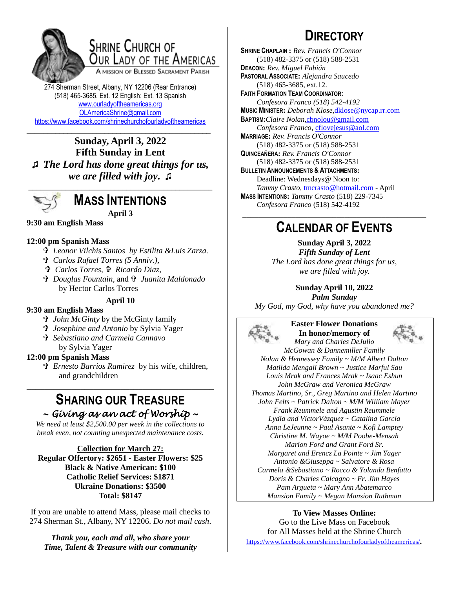

### SHRINE CHURCH OF OUR LADY OF THE AMERICAS

A MISSION OF BLESSED SACRAMENT PARISH

274 Sherman Street, Albany, NY 12206 (Rear Entrance) (518) 465-3685, Ext. 12 English; Ext. 13 Spanish [www.ourladyoftheamericas.org](http://www.ourladyoftheamericas.org/) [OLAmericaShrine@gmail.com](mailto:OLAmericaShrine@gmail.com) <https://www.facebook.com/shrinechurchofourladyoftheamericas>

\_\_\_\_\_\_\_\_\_\_\_\_\_\_\_\_\_\_\_\_\_\_\_\_\_\_\_\_\_\_\_\_\_\_\_\_\_\_\_\_\_\_\_\_\_ **Sunday, April 3, 2022 Fifth Sunday in Lent ♫** *The Lord has done great things for us, we are filled with joy***. ♫**



**MASS INTENTIONS April 3**

### **9:30 am English Mass**

### **12:00 pm Spanish Mass**

- *Leonor Vilchis Santos by Estilita &Luis Zarza.*
- *Carlos Rafael Torres (5 Anniv.),*
- *Carlos Torres, Ricardo Diaz,*
- *Douglas Fountain,* and  *Juanita Maldonado* by Hector Carlos Torres

#### **April 10**

### **9:30 am English Mass**

- *John McGinty* by the McGinty family
- *Josephine and Antonio* by Sylvia Yager
- *Sebastiano and Carmela Cannavo* by Sylvia Yager

### **12:00 pm Spanish Mass**

 *Ernesto Barrios Ramirez* by his wife, children, and grandchildren

### **SHARING OUR TREASURE** *~ Giving as an act of Worship ~*

**\_\_\_\_\_\_\_\_\_\_\_\_\_\_\_\_\_\_\_\_\_\_\_\_\_\_\_\_\_\_\_\_\_\_\_\_\_\_\_\_\_\_**

*We need at least \$2,500.00 per week in the collections to break even, not counting unexpected maintenance costs.*

### **Collection for March 27:**

**Regular Offertory: \$2651 - Easter Flowers: \$25 Black & Native American: \$100 Catholic Relief Services: \$1871 Ukraine Donations: \$3500 Total: \$8147**

If you are unable to attend Mass, please mail checks to 274 Sherman St., Albany, NY 12206. *Do not mail cash*.

*Thank you, each and all, who share your Time, Talent & Treasure with our community*

# **DIRECTORY**

**SHRINE CHAPLAIN :** *Rev. Francis O'Connor* (518) 482-3375 or (518) 588-2531 **DEACON:** *Rev. Miguel Fabián* **PASTORAL ASSOCIATE:** *Alejandra Saucedo* (518) 465-3685, ext.12. **FAITH FORMATION TEAM COORDINATOR:** *Confesora Franco (518) 542-4192* **MUSIC MINISTER:** *Deborah Klose,*[dklose@nycap.rr.com](mailto:dklose@nycap.rr.com) **BAPTISM:***Claire Nolan*[,cbnolou@gmail.com](mailto:cbnolou@gmail.com) *Confesora Franco*, [cflovejesus@aol.com](mailto:cflovejesus@aol.com) **MARRIAGE:** *Rev. Francis O'Connor* (518) 482-3375 or (518) 588-2531 **QUINCEAÑERA:** *Rev. Francis O'Connor* (518) 482-3375 or (518) 588-2531 **BULLETIN ANNOUNCEMENTS & ATTACHMENTS:** Deadline: Wednesdays@ Noon to: *Tammy Crasto,* [tmcrasto@hotmail.com](mailto:tmcrasto@hotmail.com) - April **MASS INTENTIONS:** *Tammy Crasto* (518) 229-7345 *Confesora Franco* (518) 542-4192 **\_\_\_\_\_\_\_\_\_\_\_\_\_\_\_\_\_\_\_\_\_\_\_\_\_\_\_\_\_\_\_\_\_\_\_\_\_\_\_\_\_\_\_\_\_**

### **CALENDAR OF EVENTS**

**Sunday April 3, 2022** *Fifth Sunday of Lent The Lord has done great things for us, we are filled with joy.*

**Sunday April 10, 2022** *Palm Sunday My God, my God, why have you abandoned me?*



**Easter Flower Donations In honor/memory of** *Mary and Charles DeJulio*



*McGowan & Dannemiller Family Nolan & Hennessey Family ~ M/M Albert Dalton Matilda Mengali Brown ~ Justice Marful Sau Louis Mrak and Frances Mrak ~ Isaac Eshun John McGraw and Veronica McGraw Thomas Martino, Sr., Greg Martino and Helen Martino John Felts ~ Patrick Dalton ~ M/M William Mayer Frank Reummele and Agustin Reummele Lydia and VíctorVázquez ~ Catalina García Anna LeJeunne ~ Paul Asante ~ Kofi Lamptey Christine M. Wayoe ~ M/M Poobe-Mensah Marion Ford and Grant Ford Sr. Margaret and Erencz La Pointe ~ Jim Yager Antonio &Giuseppa ~ Salvatore & Rosa Carmela &Sebastiano ~ Rocco & Yolanda Benfatto Doris & Charles Calcagno ~ Fr. Jim Hayes Pam Argueta ~ Mary Ann Abatemarco Mansion Family ~ Megan Mansion Ruthman*

### **To View Masses Online:**

Go to the Live Mass on Facebook for All Masses held at the Shrine Church <https://www.facebook.com/shrinechurchofourladyoftheamericas/>*.*